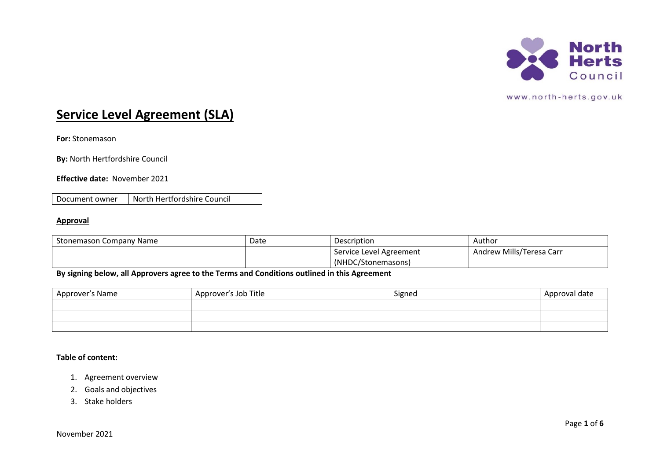

# **Service Level Agreement (SLA)**

**For:** Stonemason

**By:** North Hertfordshire Council

**Effective date:** November 2021

Document owner | North Hertfordshire Council

# **Approval**

| Stonemason Company Name | Date | Description             | Author                   |
|-------------------------|------|-------------------------|--------------------------|
|                         |      | Service Level Agreement | Andrew Mills/Teresa Carr |
|                         |      | (NHDC/Stonemasons)      |                          |

**By signing below, all Approvers agree to the Terms and Conditions outlined in this Agreement**

| Approver's Name | Approver's Job Title | Signed | Approval date |
|-----------------|----------------------|--------|---------------|
|                 |                      |        |               |
|                 |                      |        |               |
|                 |                      |        |               |

# **Table of content:**

- 1. Agreement overview
- 2. Goals and objectives
- 3. Stake holders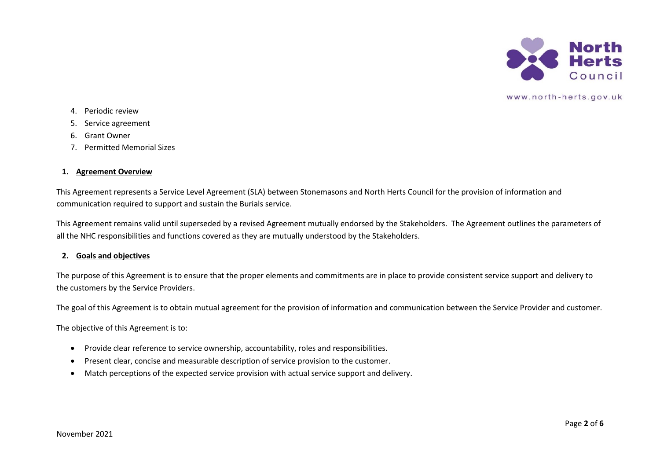

- 4. Periodic review
- 5. Service agreement
- 6. Grant Owner
- 7. Permitted Memorial Sizes

# **1. Agreement Overview**

This Agreement represents a Service Level Agreement (SLA) between Stonemasons and North Herts Council for the provision of information and communication required to support and sustain the Burials service.

This Agreement remains valid until superseded by a revised Agreement mutually endorsed by the Stakeholders. The Agreement outlines the parameters of all the NHC responsibilities and functions covered as they are mutually understood by the Stakeholders.

# **2. Goals and objectives**

The purpose of this Agreement is to ensure that the proper elements and commitments are in place to provide consistent service support and delivery to the customers by the Service Providers.

The goal of this Agreement is to obtain mutual agreement for the provision of information and communication between the Service Provider and customer.

The objective of this Agreement is to:

- Provide clear reference to service ownership, accountability, roles and responsibilities.
- Present clear, concise and measurable description of service provision to the customer.
- Match perceptions of the expected service provision with actual service support and delivery.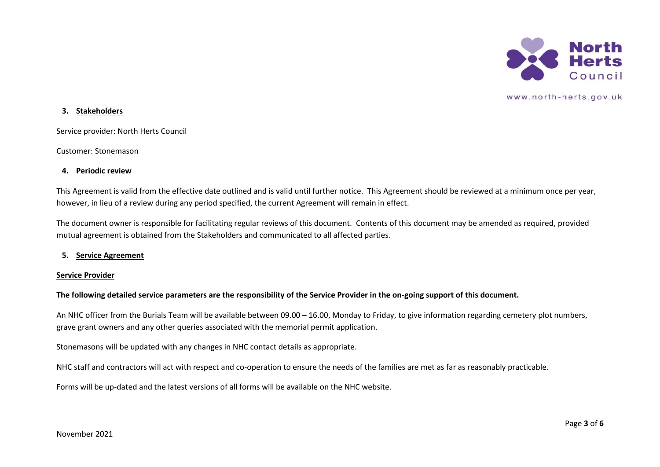

## **3. Stakeholders**

Service provider: North Herts Council

Customer: Stonemason

#### **4. Periodic review**

This Agreement is valid from the effective date outlined and is valid until further notice. This Agreement should be reviewed at a minimum once per year, however, in lieu of a review during any period specified, the current Agreement will remain in effect.

The document owner is responsible for facilitating regular reviews of this document. Contents of this document may be amended as required, provided mutual agreement is obtained from the Stakeholders and communicated to all affected parties.

## **5. Service Agreement**

#### **Service Provider**

## **The following detailed service parameters are the responsibility of the Service Provider in the on-going support of this document.**

An NHC officer from the Burials Team will be available between 09.00 – 16.00, Monday to Friday, to give information regarding cemetery plot numbers, grave grant owners and any other queries associated with the memorial permit application.

Stonemasons will be updated with any changes in NHC contact details as appropriate.

NHC staff and contractors will act with respect and co-operation to ensure the needs of the families are met as far as reasonably practicable.

Forms will be up-dated and the latest versions of all forms will be available on the NHC website.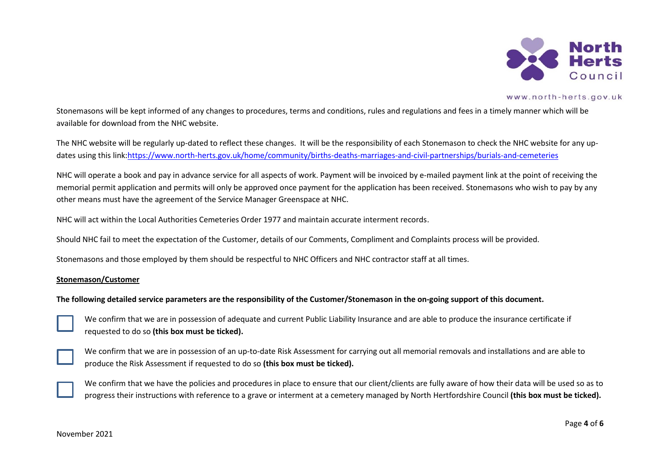

Stonemasons will be kept informed of any changes to procedures, terms and conditions, rules and regulations and fees in a timely manner which will be available for download from the NHC website.

The NHC website will be regularly up-dated to reflect these changes. It will be the responsibility of each Stonemason to check the NHC website for any updates using this link[:https://www.north-herts.gov.uk/home/community/births-deaths-marriages-and-civil-partnerships/burials-and-cemeteries](https://www.north-herts.gov.uk/home/community/births-deaths-marriages-and-civil-partnerships/burials-and-cemeteries)

NHC will operate a book and pay in advance service for all aspects of work. Payment will be invoiced by e-mailed payment link at the point of receiving the memorial permit application and permits will only be approved once payment for the application has been received. Stonemasons who wish to pay by any other means must have the agreement of the Service Manager Greenspace at NHC.

NHC will act within the Local Authorities Cemeteries Order 1977 and maintain accurate interment records.

Should NHC fail to meet the expectation of the Customer, details of our Comments, Compliment and Complaints process will be provided.

Stonemasons and those employed by them should be respectful to NHC Officers and NHC contractor staff at all times.

#### **Stonemason/Customer**

## **The following detailed service parameters are the responsibility of the Customer/Stonemason in the on-going support of this document.**



We confirm that we are in possession of adequate and current Public Liability Insurance and are able to produce the insurance certificate if requested to do so **(this box must be ticked).**



We confirm that we are in possession of an up-to-date Risk Assessment for carrying out all memorial removals and installations and are able to produce the Risk Assessment if requested to do so **(this box must be ticked).**



We confirm that we have the policies and procedures in place to ensure that our client/clients are fully aware of how their data will be used so as to progress their instructions with reference to a grave or interment at a cemetery managed by North Hertfordshire Council **(this box must be ticked).**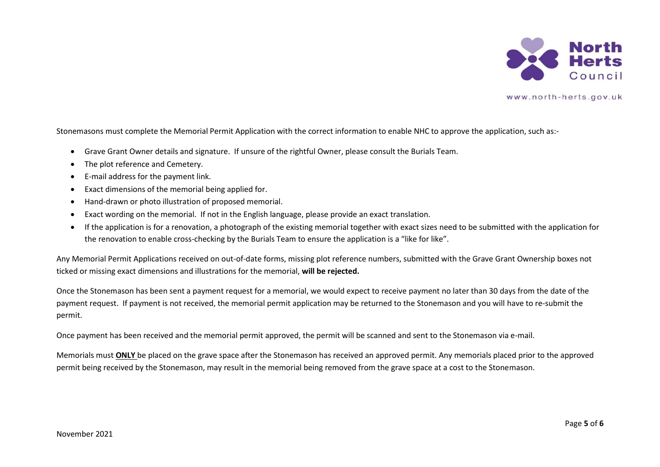

Stonemasons must complete the Memorial Permit Application with the correct information to enable NHC to approve the application, such as:-

- Grave Grant Owner details and signature. If unsure of the rightful Owner, please consult the Burials Team.
- The plot reference and Cemetery.
- E-mail address for the payment link.
- Exact dimensions of the memorial being applied for.
- Hand-drawn or photo illustration of proposed memorial.
- Exact wording on the memorial. If not in the English language, please provide an exact translation.
- If the application is for a renovation, a photograph of the existing memorial together with exact sizes need to be submitted with the application for the renovation to enable cross-checking by the Burials Team to ensure the application is a "like for like".

Any Memorial Permit Applications received on out-of-date forms, missing plot reference numbers, submitted with the Grave Grant Ownership boxes not ticked or missing exact dimensions and illustrations for the memorial, **will be rejected.**

Once the Stonemason has been sent a payment request for a memorial, we would expect to receive payment no later than 30 days from the date of the payment request. If payment is not received, the memorial permit application may be returned to the Stonemason and you will have to re-submit the permit.

Once payment has been received and the memorial permit approved, the permit will be scanned and sent to the Stonemason via e-mail.

Memorials must **ONLY** be placed on the grave space after the Stonemason has received an approved permit. Any memorials placed prior to the approved permit being received by the Stonemason, may result in the memorial being removed from the grave space at a cost to the Stonemason.